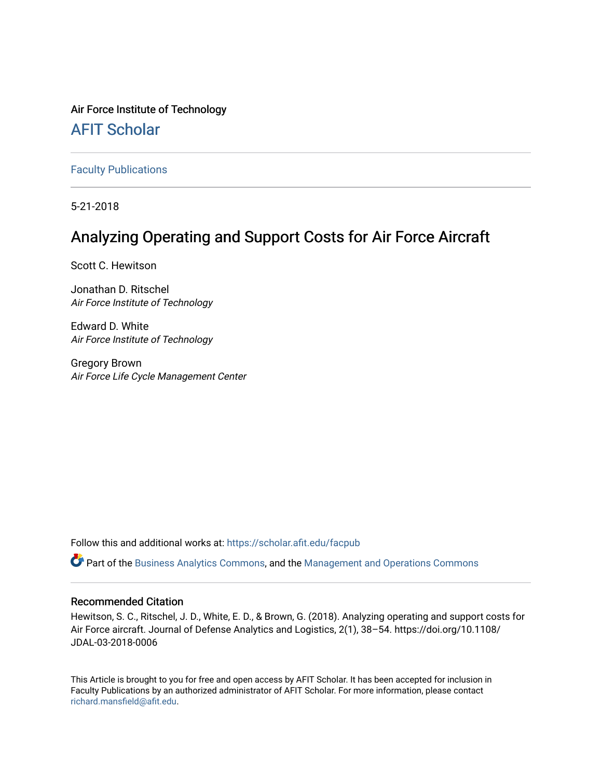### Air Force Institute of Technology

## [AFIT Scholar](https://scholar.afit.edu/)

[Faculty Publications](https://scholar.afit.edu/facpub)

5-21-2018

# Analyzing Operating and Support Costs for Air Force Aircraft

Scott C. Hewitson

Jonathan D. Ritschel Air Force Institute of Technology

Edward D. White Air Force Institute of Technology

Gregory Brown Air Force Life Cycle Management Center

Follow this and additional works at: [https://scholar.afit.edu/facpub](https://scholar.afit.edu/facpub?utm_source=scholar.afit.edu%2Ffacpub%2F31&utm_medium=PDF&utm_campaign=PDFCoverPages)

Part of the [Business Analytics Commons](http://network.bepress.com/hgg/discipline/1398?utm_source=scholar.afit.edu%2Ffacpub%2F31&utm_medium=PDF&utm_campaign=PDFCoverPages), and the [Management and Operations Commons](http://network.bepress.com/hgg/discipline/1311?utm_source=scholar.afit.edu%2Ffacpub%2F31&utm_medium=PDF&utm_campaign=PDFCoverPages) 

### Recommended Citation

Hewitson, S. C., Ritschel, J. D., White, E. D., & Brown, G. (2018). Analyzing operating and support costs for Air Force aircraft. Journal of Defense Analytics and Logistics, 2(1), 38–54. https://doi.org/10.1108/ JDAL-03-2018-0006

This Article is brought to you for free and open access by AFIT Scholar. It has been accepted for inclusion in Faculty Publications by an authorized administrator of AFIT Scholar. For more information, please contact [richard.mansfield@afit.edu.](mailto:richard.mansfield@afit.edu)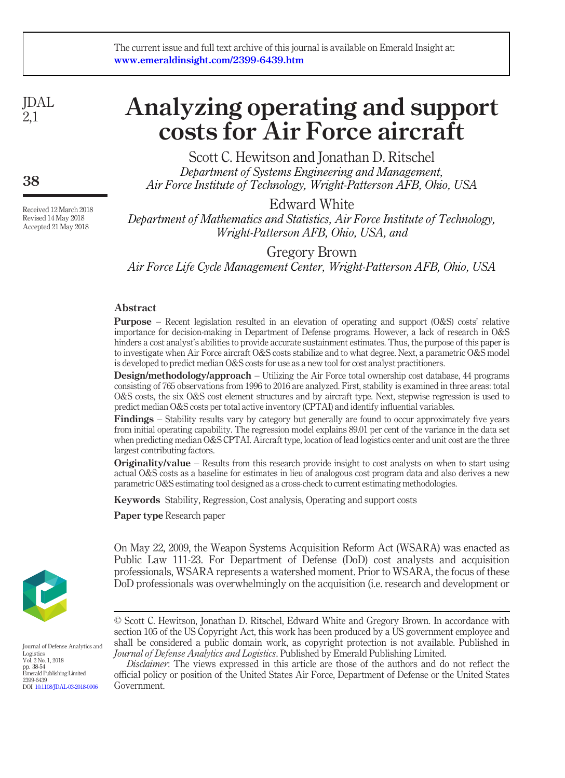JDAL 2,1

38

Received 12 March 2018 Revised 14 May 2018 Accepted 21 May 2018

# Analyzing operating and support costs for Air Force aircraft

Scott C. Hewitson and Jonathan D. Ritschel Department of Systems Engineering and Management, Air Force Institute of Technology, Wright-Patterson AFB, Ohio, USA

Edward White

Department of Mathematics and Statistics, Air Force Institute of Technology, Wright-Patterson AFB, Ohio, USA, and

Gregory Brown Air Force Life Cycle Management Center, Wright-Patterson AFB, Ohio, USA

#### Abstract

**Purpose** – Recent legislation resulted in an elevation of operating and support  $(0&S)$  costs' relative importance for decision-making in Department of Defense programs. However, a lack of research in O&S hinders a cost analyst's abilities to provide accurate sustainment estimates. Thus, the purpose of this paper is to investigate when Air Force aircraft O&S costs stabilize and to what degree. Next, a parametric O&S model is developed to predict median O&S costs for use as a new tool for cost analyst practitioners.

**Design/methodology/approach** – Utilizing the Air Force total ownership cost database, 44 programs consisting of 765 observations from 1996 to 2016 are analyzed. First, stability is examined in three areas: total O&S costs, the six O&S cost element structures and by aircraft type. Next, stepwise regression is used to predict median O&S costs per total active inventory (CPTAI) and identify influential variables.

Findings – Stability results vary by category but generally are found to occur approximately five years from initial operating capability. The regression model explains 89.01 per cent of the variance in the data set when predicting median O&S CPTAI. Aircraft type, location of lead logistics center and unit cost are the three largest contributing factors.

**Originality/value** – Results from this research provide insight to cost analysts on when to start using actual O&S costs as a baseline for estimates in lieu of analogous cost program data and also derives a new parametric O&S estimating tool designed as a cross-check to current estimating methodologies.

On May 22, 2009, the Weapon Systems Acquisition Reform Act (WSARA) was enacted as Public Law 111-23. For Department of Defense (DoD) cost analysts and acquisition professionals, WSARA represents a watershed moment. Prior to WSARA, the focus of these DoD professionals was overwhelmingly on the acquisition (i.e. research and development or

Keywords Stability, Regression, Cost analysis, Operating and support costs

Paper type Research paper



Journal of Defense Analytics and Logistics Vol. 2 No. 1, 2018 pp. 38-54 Emerald Publishing Limited 2399-6439 DOI [10.1108/JDAL-03-2018-0006](http://dx.doi.org/10.1108/JDAL-03-2018-0006)

Disclaimer: The views expressed in this article are those of the authors and do not reflect the official policy or position of the United States Air Force, Department of Defense or the United States Government.

<sup>©</sup> Scott C. Hewitson, Jonathan D. Ritschel, Edward White and Gregory Brown. In accordance with section 105 of the US Copyright Act, this work has been produced by a US government employee and shall be considered a public domain work, as copyright protection is not available. Published in Journal of Defense Analytics and Logistics. Published by Emerald Publishing Limited.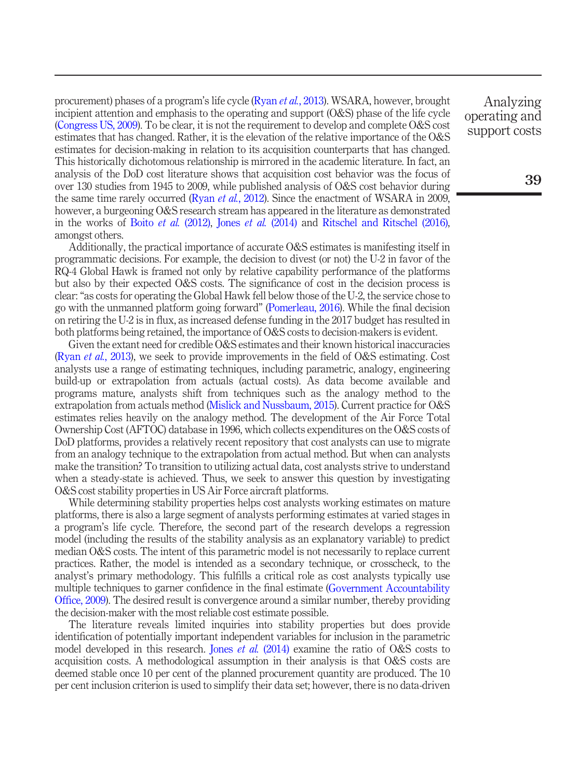procurement) phases of a program's life cycle (Ryan *et al.*[, 2013\)](#page-14-0). WSARA, however, brought incipient attention and emphasis to the operating and support (O&S) phase of the life cycle [\(Congress US, 2009](#page-13-0)). To be clear, it is not the requirement to develop and complete O&S cost estimates that has changed. Rather, it is the elevation of the relative importance of the O&S estimates for decision-making in relation to its acquisition counterparts that has changed. This historically dichotomous relationship is mirrored in the academic literature. In fact, an analysis of the DoD cost literature shows that acquisition cost behavior was the focus of over 130 studies from 1945 to 2009, while published analysis of O&S cost behavior during the same time rarely occurred (Ryan *et al.*[, 2012\)](#page-14-1). Since the enactment of WSARA in 2009, however, a burgeoning O&S research stream has appeared in the literature as demonstrated in the works of Boito et al.  $(2012)$ , Jones et al.  $(2014)$  and Ritschel and Ritschel  $(2016)$ , amongst others.

Additionally, the practical importance of accurate O&S estimates is manifesting itself in programmatic decisions. For example, the decision to divest (or not) the U-2 in favor of the RQ-4 Global Hawk is framed not only by relative capability performance of the platforms but also by their expected O&S costs. The significance of cost in the decision process is clear:"as costs for operating the Global Hawk fell below those of the U-2, the service chose to go with the unmanned platform going forward" [\(Pomerleau, 2016\)](#page-14-3). While the final decision on retiring the U-2 is in flux, as increased defense funding in the 2017 budget has resulted in both platforms being retained, the importance of O&S costs to decision-makers is evident.

Given the extant need for credible O&S estimates and their known historical inaccuracies (Ryan *et al.*[, 2013](#page-14-0)), we seek to provide improvements in the field of O&S estimating. Cost analysts use a range of estimating techniques, including parametric, analogy, engineering build-up or extrapolation from actuals (actual costs). As data become available and programs mature, analysts shift from techniques such as the analogy method to the extrapolation from actuals method ([Mislick and Nussbaum, 2015\)](#page-13-3). Current practice for O&S estimates relies heavily on the analogy method. The development of the Air Force Total Ownership Cost (AFTOC) database in 1996, which collects expenditures on the O&S costs of DoD platforms, provides a relatively recent repository that cost analysts can use to migrate from an analogy technique to the extrapolation from actual method. But when can analysts make the transition? To transition to utilizing actual data, cost analysts strive to understand when a steady-state is achieved. Thus, we seek to answer this question by investigating O&S cost stability properties in US Air Force aircraft platforms.

While determining stability properties helps cost analysts working estimates on mature platforms, there is also a large segment of analysts performing estimates at varied stages in a program's life cycle. Therefore, the second part of the research develops a regression model (including the results of the stability analysis as an explanatory variable) to predict median O&S costs. The intent of this parametric model is not necessarily to replace current practices. Rather, the model is intended as a secondary technique, or crosscheck, to the analyst's primary methodology. This fulfills a critical role as cost analysts typically use multiple techniques to garner confidence in the final estimate [\(Government Accountability](#page-13-4) Offi[ce, 2009](#page-13-4)). The desired result is convergence around a similar number, thereby providing the decision-maker with the most reliable cost estimate possible.

The literature reveals limited inquiries into stability properties but does provide identification of potentially important independent variables for inclusion in the parametric model developed in this research. Jones *et al.* [\(2014\)](#page-13-2) examine the ratio of O&S costs to acquisition costs. A methodological assumption in their analysis is that O&S costs are deemed stable once 10 per cent of the planned procurement quantity are produced. The 10 per cent inclusion criterion is used to simplify their data set; however, there is no data-driven

Analyzing operating and support costs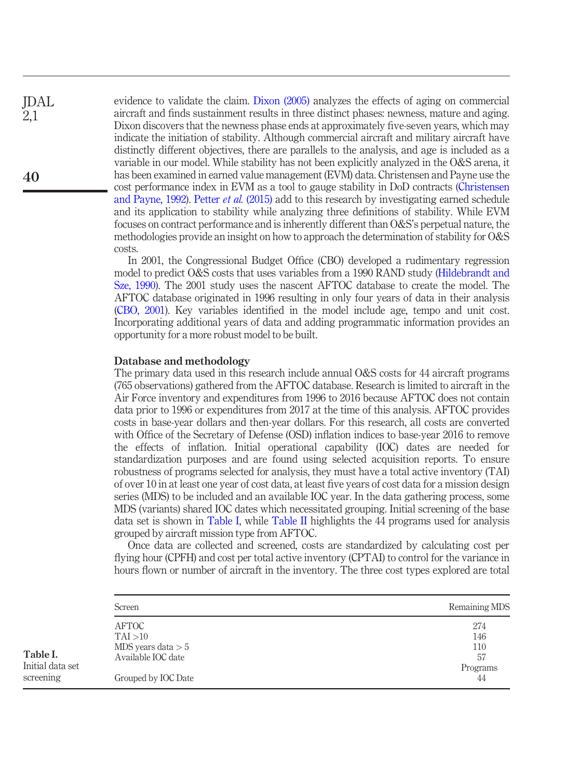evidence to validate the claim. [Dixon \(2005\)](#page-13-5) analyzes the effects of aging on commercial aircraft and finds sustainment results in three distinct phases: newness, mature and aging. Dixon discovers that the newness phase ends at approximately five-seven years, which may indicate the initiation of stability. Although commercial aircraft and military aircraft have distinctly different objectives, there are parallels to the analysis, and age is included as a variable in our model. While stability has not been explicitly analyzed in the O&S arena, it has been examined in earned value management (EVM) data. Christensen and Payne use the cost performance index in EVM as a tool to gauge stability in DoD contracts [\(Christensen](#page-13-6) [and Payne, 1992](#page-13-6)). Petter *et al.* [\(2015\)](#page-13-7) add to this research by investigating earned schedule and its application to stability while analyzing three definitions of stability. While EVM focuses on contract performance and is inherently different than O&S's perpetual nature, the methodologies provide an insight on how to approach the determination of stability for O&S costs.

In 2001, the Congressional Budget Office (CBO) developed a rudimentary regression model to predict O&S costs that uses variables from a 1990 RAND study ([Hildebrandt and](#page-13-8) [Sze, 1990\)](#page-13-8). The 2001 study uses the nascent AFTOC database to create the model. The AFTOC database originated in 1996 resulting in only four years of data in their analysis [\(CBO, 2001](#page-13-9)). Key variables identified in the model include age, tempo and unit cost. Incorporating additional years of data and adding programmatic information provides an opportunity for a more robust model to be built.

#### Database and methodology

The primary data used in this research include annual O&S costs for 44 aircraft programs (765 observations) gathered from the AFTOC database. Research is limited to aircraft in the Air Force inventory and expenditures from 1996 to 2016 because AFTOC does not contain data prior to 1996 or expenditures from 2017 at the time of this analysis. AFTOC provides costs in base-year dollars and then-year dollars. For this research, all costs are converted with Office of the Secretary of Defense (OSD) inflation indices to base-year 2016 to remove the effects of inflation. Initial operational capability (IOC) dates are needed for standardization purposes and are found using selected acquisition reports. To ensure robustness of programs selected for analysis, they must have a total active inventory (TAI) of over 10 in at least one year of cost data, at least five years of cost data for a mission design series (MDS) to be included and an available IOC year. In the data gathering process, some MDS (variants) shared IOC dates which necessitated grouping. Initial screening of the base data set is shown in [Table I,](#page-3-0) while [Table II](#page-4-0) highlights the 44 programs used for analysis grouped by aircraft mission type from AFTOC.

Once data are collected and screened, costs are standardized by calculating cost per flying hour (CPFH) and cost per total active inventory (CPTAI) to control for the variance in hours flown or number of aircraft in the inventory. The three cost types explored are total

| Screen                     | Remaining MDS |
|----------------------------|---------------|
| <b>AFTOC</b>               | 274           |
| TAI > 10                   | 146           |
| MDS years data $> 5$       | 110           |
| Available IOC date         | 57            |
|                            | Programs      |
| Grouped by <b>IOC</b> Date | 44            |

40

JDAL 2,1

<span id="page-3-0"></span>Table I. Initial data set screening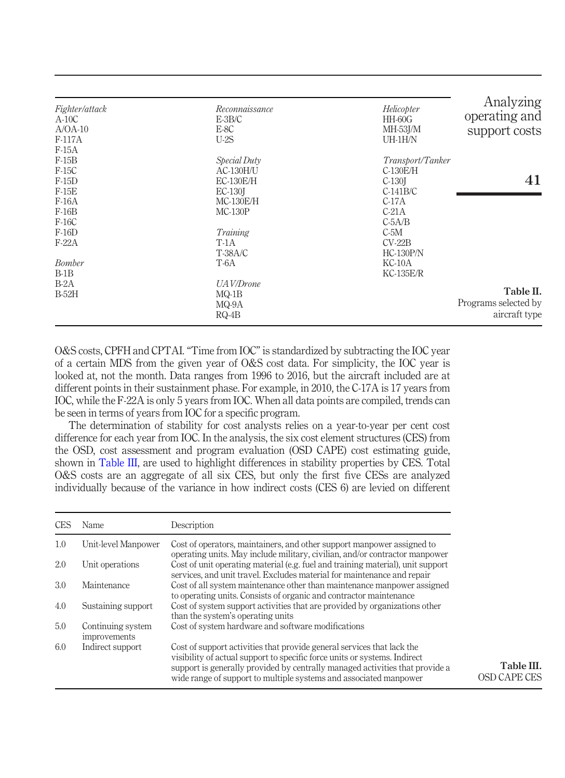| Fighter/attack<br>$A-10C$<br>$A/OA-10$<br>F-117A                                   | Reconnaissance<br>$E-3B/C$<br>E-8C<br>$U-2S$                                          | Helicopter<br>$HH-60G$<br>MH-53J/M<br>UH-1H/N                                                      | Analyzing<br>operating and<br>support costs        |
|------------------------------------------------------------------------------------|---------------------------------------------------------------------------------------|----------------------------------------------------------------------------------------------------|----------------------------------------------------|
| $F-15A$<br>$F-15B$<br>F-15C<br>$F-15D$<br>$F-15E$<br>$F-16A$<br>$F-16B$<br>$F-16C$ | Special Duty<br>$AC-130H/U$<br>$EC-130E/H$<br><b>EC-130</b><br>MC-130E/H<br>$MC-130P$ | Transport/Tanker<br>C-130E/H<br>C-130 <sup>I</sup><br>$C-141B/C$<br>$C-17A$<br>$C-21A$<br>$C-5A/B$ | 41                                                 |
| $F-16D$<br>$F-22A$<br>Bomber                                                       | Training<br>$T-1A$<br><b>T-38A/C</b><br>T-6A                                          | $C-5M$<br>$CV-22B$<br>$HC-130P/N$<br>KC-10A                                                        |                                                    |
| $B-1B$<br>$B-2A$<br>$B-52H$                                                        | <b>UAV/Drone</b><br>$MQ-1B$<br>MQ-9A<br>$RQ-4B$                                       | $KC-135E/R$                                                                                        | Table II.<br>Programs selected by<br>aircraft type |

<span id="page-4-0"></span>O&S costs, CPFH and CPTAI. "Time from IOC" is standardized by subtracting the IOC year of a certain MDS from the given year of O&S cost data. For simplicity, the IOC year is looked at, not the month. Data ranges from 1996 to 2016, but the aircraft included are at different points in their sustainment phase. For example, in 2010, the C-17A is 17 years from IOC, while the F-22A is only 5 years from IOC. When all data points are compiled, trends can be seen in terms of years from IOC for a specific program.

The determination of stability for cost analysts relies on a year-to-year per cent cost difference for each year from IOC. In the analysis, the six cost element structures (CES) from the OSD, cost assessment and program evaluation (OSD CAPE) cost estimating guide, shown in [Table III](#page-4-1), are used to highlight differences in stability properties by CES. Total O&S costs are an aggregate of all six CES, but only the first five CESs are analyzed individually because of the variance in how indirect costs (CES 6) are levied on different

<span id="page-4-1"></span>

| CES | Name                                     | Description                                                                                                                                                                                                                                                                                              |                                   |
|-----|------------------------------------------|----------------------------------------------------------------------------------------------------------------------------------------------------------------------------------------------------------------------------------------------------------------------------------------------------------|-----------------------------------|
| 1.0 | Unit-level Manpower                      | Cost of operators, maintainers, and other support manpower assigned to<br>operating units. May include military, civilian, and/or contractor manpower                                                                                                                                                    |                                   |
| 2.0 | Unit operations                          | Cost of unit operating material (e.g. fuel and training material), unit support<br>services, and unit travel. Excludes material for maintenance and repair                                                                                                                                               |                                   |
| 3.0 | Maintenance                              | Cost of all system maintenance other than maintenance manpower assigned<br>to operating units. Consists of organic and contractor maintenance                                                                                                                                                            |                                   |
| 4.0 | Sustaining support                       | Cost of system support activities that are provided by organizations other<br>than the system's operating units                                                                                                                                                                                          |                                   |
| 5.0 | Continuing system<br><i>improvements</i> | Cost of system hardware and software modifications                                                                                                                                                                                                                                                       |                                   |
| 6.0 | Indirect support                         | Cost of support activities that provide general services that lack the<br>visibility of actual support to specific force units or systems. Indirect<br>support is generally provided by centrally managed activities that provide a<br>wide range of support to multiple systems and associated manpower | Table III.<br><b>OSD CAPE CES</b> |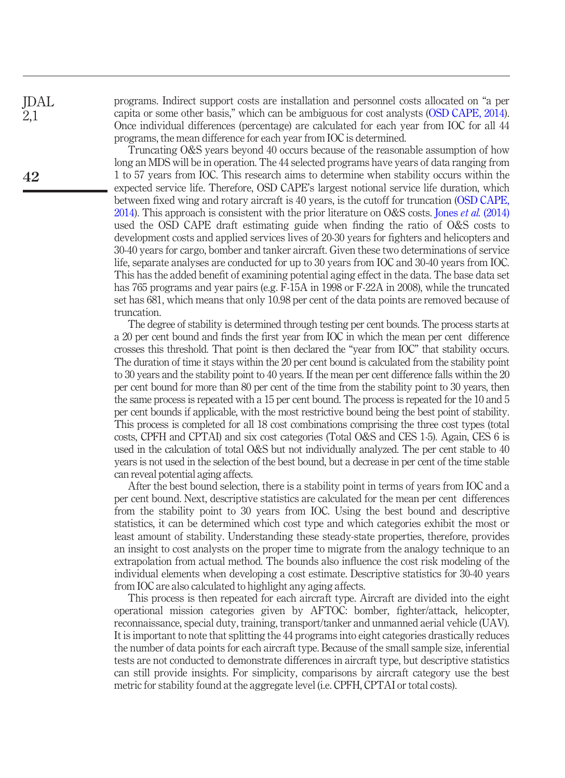JDAL 2,1

42

programs. Indirect support costs are installation and personnel costs allocated on "a per capita or some other basis," which can be ambiguous for cost analysts [\(OSD CAPE, 2014\)](#page-13-10). Once individual differences (percentage) are calculated for each year from IOC for all 44 programs, the mean difference for each year from IOC is determined.

Truncating O&S years beyond 40 occurs because of the reasonable assumption of how long an MDS will be in operation. The 44 selected programs have years of data ranging from 1 to 57 years from IOC. This research aims to determine when stability occurs within the expected service life. Therefore, OSD CAPE's largest notional service life duration, which between fixed wing and rotary aircraft is 40 years, is the cutoff for truncation [\(OSD CAPE,](#page-13-10) [2014](#page-13-10)). This approach is consistent with the prior literature on O&S costs. Jones *et al.* [\(2014\)](#page-13-2) used the OSD CAPE draft estimating guide when finding the ratio of O&S costs to development costs and applied services lives of 20-30 years for fighters and helicopters and 30-40 years for cargo, bomber and tanker aircraft. Given these two determinations of service life, separate analyses are conducted for up to 30 years from IOC and 30-40 years from IOC. This has the added benefit of examining potential aging effect in the data. The base data set has 765 programs and year pairs (e.g. F-15A in 1998 or F-22A in 2008), while the truncated set has 681, which means that only 10.98 per cent of the data points are removed because of truncation.

The degree of stability is determined through testing per cent bounds. The process starts at a 20 per cent bound and finds the first year from IOC in which the mean per cent difference crosses this threshold. That point is then declared the "year from IOC" that stability occurs. The duration of time it stays within the 20 per cent bound is calculated from the stability point to 30 years and the stability point to 40 years. If the mean per cent difference falls within the 20 per cent bound for more than 80 per cent of the time from the stability point to 30 years, then the same process is repeated with a 15 per cent bound. The process is repeated for the 10 and 5 per cent bounds if applicable, with the most restrictive bound being the best point of stability. This process is completed for all 18 cost combinations comprising the three cost types (total costs, CPFH and CPTAI) and six cost categories (Total O&S and CES 1-5). Again, CES 6 is used in the calculation of total O&S but not individually analyzed. The per cent stable to 40 years is not used in the selection of the best bound, but a decrease in per cent of the time stable can reveal potential aging affects.

After the best bound selection, there is a stability point in terms of years from IOC and a per cent bound. Next, descriptive statistics are calculated for the mean per cent differences from the stability point to 30 years from IOC. Using the best bound and descriptive statistics, it can be determined which cost type and which categories exhibit the most or least amount of stability. Understanding these steady-state properties, therefore, provides an insight to cost analysts on the proper time to migrate from the analogy technique to an extrapolation from actual method. The bounds also influence the cost risk modeling of the individual elements when developing a cost estimate. Descriptive statistics for 30-40 years from IOC are also calculated to highlight any aging affects.

This process is then repeated for each aircraft type. Aircraft are divided into the eight operational mission categories given by AFTOC: bomber, fighter/attack, helicopter, reconnaissance, special duty, training, transport/tanker and unmanned aerial vehicle (UAV). It is important to note that splitting the 44 programs into eight categories drastically reduces the number of data points for each aircraft type. Because of the small sample size, inferential tests are not conducted to demonstrate differences in aircraft type, but descriptive statistics can still provide insights. For simplicity, comparisons by aircraft category use the best metric for stability found at the aggregate level (i.e. CPFH, CPTAI or total costs).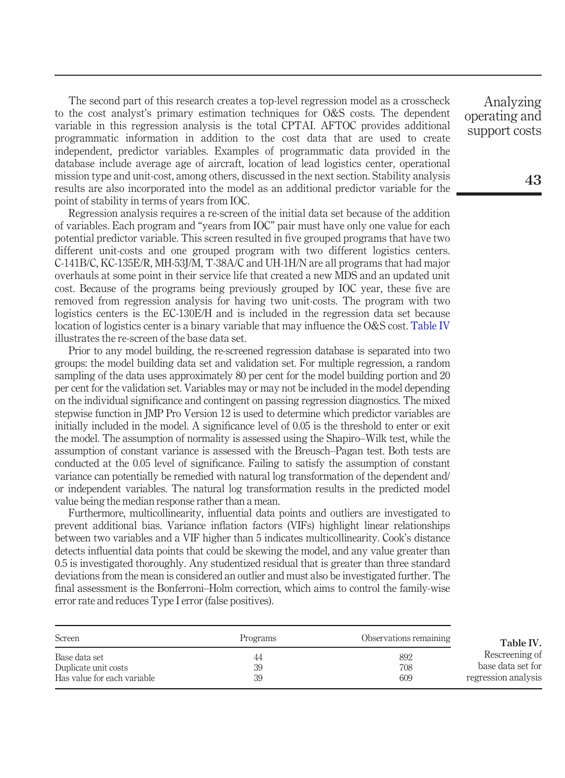The second part of this research creates a top-level regression model as a crosscheck to the cost analyst's primary estimation techniques for O&S costs. The dependent variable in this regression analysis is the total CPTAI. AFTOC provides additional programmatic information in addition to the cost data that are used to create independent, predictor variables. Examples of programmatic data provided in the database include average age of aircraft, location of lead logistics center, operational mission type and unit-cost, among others, discussed in the next section. Stability analysis results are also incorporated into the model as an additional predictor variable for the point of stability in terms of years from IOC.

Regression analysis requires a re-screen of the initial data set because of the addition of variables. Each program and "years from IOC" pair must have only one value for each potential predictor variable. This screen resulted in five grouped programs that have two different unit-costs and one grouped program with two different logistics centers. C-141B/C, KC-135E/R, MH-53J/M, T-38A/C and UH-1H/N are all programs that had major overhauls at some point in their service life that created a new MDS and an updated unit cost. Because of the programs being previously grouped by IOC year, these five are removed from regression analysis for having two unit-costs. The program with two logistics centers is the EC-130E/H and is included in the regression data set because location of logistics center is a binary variable that may influence the O&S cost. [Table IV](#page-6-0) illustrates the re-screen of the base data set.

Prior to any model building, the re-screened regression database is separated into two groups: the model building data set and validation set. For multiple regression, a random sampling of the data uses approximately 80 per cent for the model building portion and 20 per cent for the validation set. Variables may or may not be included in the model depending on the individual significance and contingent on passing regression diagnostics. The mixed stepwise function in JMP Pro Version 12 is used to determine which predictor variables are initially included in the model. A significance level of 0.05 is the threshold to enter or exit the model. The assumption of normality is assessed using the Shapiro–Wilk test, while the assumption of constant variance is assessed with the Breusch–Pagan test. Both tests are conducted at the 0.05 level of significance. Failing to satisfy the assumption of constant variance can potentially be remedied with natural log transformation of the dependent and/ or independent variables. The natural log transformation results in the predicted model value being the median response rather than a mean.

Furthermore, multicollinearity, influential data points and outliers are investigated to prevent additional bias. Variance inflation factors (VIFs) highlight linear relationships between two variables and a VIF higher than 5 indicates multicollinearity. Cook's distance detects influential data points that could be skewing the model, and any value greater than 0.5 is investigated thoroughly. Any studentized residual that is greater than three standard deviations from the mean is considered an outlier and must also be investigated further. The final assessment is the Bonferroni–Holm correction, which aims to control the family-wise error rate and reduces Type I error (false positives).

<span id="page-6-0"></span>

| Screen                      | Programs | Observations remaining | Table IV.           |
|-----------------------------|----------|------------------------|---------------------|
| Base data set               | 44       | 892                    | Rescreening of      |
| Duplicate unit costs        | 39       | 708                    | base data set for   |
| Has value for each variable | 39       | 609                    | regression analysis |

Analyzing operating and support costs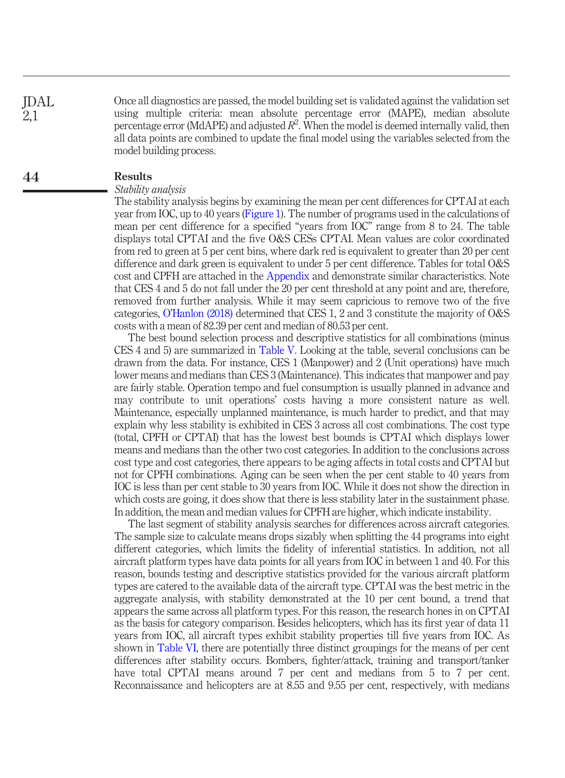Once all diagnostics are passed, the model building set is validated against the validation set using multiple criteria: mean absolute percentage error (MAPE), median absolute percentage error (MdAPE) and adjusted  $R^2$ . When the model is deemed internally valid, then all data points are combined to update the final model using the variables selected from the model building process. JDAL 2,1

#### Results 44

#### Stability analysis

The stability analysis begins by examining the mean per cent differences for CPTAI at each year from IOC, up to 40 years ([Figure 1](#page-8-0)). The number of programs used in the calculations of mean per cent difference for a specified "years from IOC" range from 8 to 24. The table displays total CPTAI and the five O&S CESs CPTAI. Mean values are color coordinated from red to green at 5 per cent bins, where dark red is equivalent to greater than 20 per cent difference and dark green is equivalent to under 5 per cent difference. Tables for total O&S cost and CPFH are attached in the [Appendix](#page-15-0) and demonstrate similar characteristics. Note that CES 4 and 5 do not fall under the 20 per cent threshold at any point and are, therefore, removed from further analysis. While it may seem capricious to remove two of the five categories, O'[Hanlon \(2018\)](#page-13-11) determined that CES 1, 2 and 3 constitute the majority of O&S costs with a mean of 82.39 per cent and median of 80.53 per cent.

The best bound selection process and descriptive statistics for all combinations (minus CES 4 and 5) are summarized in [Table V](#page-9-0). Looking at the table, several conclusions can be drawn from the data. For instance, CES 1 (Manpower) and 2 (Unit operations) have much lower means and medians than CES 3 (Maintenance). This indicates that manpower and pay are fairly stable. Operation tempo and fuel consumption is usually planned in advance and may contribute to unit operations' costs having a more consistent nature as well. Maintenance, especially unplanned maintenance, is much harder to predict, and that may explain why less stability is exhibited in CES 3 across all cost combinations. The cost type (total, CPFH or CPTAI) that has the lowest best bounds is CPTAI which displays lower means and medians than the other two cost categories. In addition to the conclusions across cost type and cost categories, there appears to be aging affects in total costs and CPTAI but not for CPFH combinations. Aging can be seen when the per cent stable to 40 years from IOC is less than per cent stable to 30 years from IOC. While it does not show the direction in which costs are going, it does show that there is less stability later in the sustainment phase. In addition, the mean and median values for CPFH are higher, which indicate instability.

The last segment of stability analysis searches for differences across aircraft categories. The sample size to calculate means drops sizably when splitting the 44 programs into eight different categories, which limits the fidelity of inferential statistics. In addition, not all aircraft platform types have data points for all years from IOC in between 1 and 40. For this reason, bounds testing and descriptive statistics provided for the various aircraft platform types are catered to the available data of the aircraft type. CPTAI was the best metric in the aggregate analysis, with stability demonstrated at the 10 per cent bound, a trend that appears the same across all platform types. For this reason, the research hones in on CPTAI as the basis for category comparison. Besides helicopters, which has its first year of data 11 years from IOC, all aircraft types exhibit stability properties till five years from IOC. As shown in [Table VI](#page-10-0), there are potentially three distinct groupings for the means of per cent differences after stability occurs. Bombers, fighter/attack, training and transport/tanker have total CPTAI means around 7 per cent and medians from 5 to 7 per cent. Reconnaissance and helicopters are at 8.55 and 9.55 per cent, respectively, with medians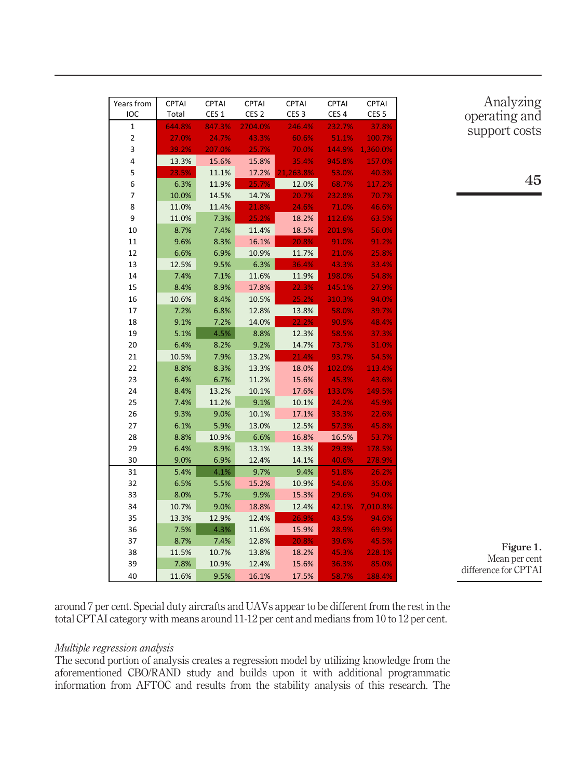| Years from     | <b>CPTAI</b> | CPTAI            | <b>CPTAI</b>     | CPTAI            | CPTAI            | <b>CPTAI</b>     |
|----------------|--------------|------------------|------------------|------------------|------------------|------------------|
| <b>IOC</b>     | Total        | CES <sub>1</sub> | CES <sub>2</sub> | CES <sub>3</sub> | CES <sub>4</sub> | CES <sub>5</sub> |
| 1              | 644.8%       | 847.3%           | 2704.0%          | 246.4%           | 232.7%           | 37.8%            |
| $\overline{2}$ | 27.0%        | 24.7%            | 43.3%            | 60.6%            | 51.1%            | 100.7%           |
| 3              | 39.2%        | 207.0%           | 25.7%            | 70.0%            | 144.9%           | 1,360.0%         |
| 4              | 13.3%        | 15.6%            | 15.8%            | 35.4%            | 945.8%           | 157.0%           |
| 5              | 23.5%        | 11.1%            | 17.2%            | 21.263.8%        | 53.0%            | 40.3%            |
| 6              | 6.3%         | 11.9%            | 25.7%            | 12.0%            | 68.7%            | 117.2%           |
| 7              | 10.0%        | 14.5%            | 14.7%            | 20.7%            | 232.8%           | 70.7%            |
| 8              | 11.0%        | 11.4%            | 21.8%            | 24.6%            | 71.0%            | 46.6%            |
| 9              | 11.0%        | 7.3%             | 25.2%            | 18.2%            | 112.6%           | 63.5%            |
| 10             | 8.7%         | 7.4%             | 11.4%            | 18.5%            | 201.9%           | 56.0%            |
| 11             | 9.6%         | 8.3%             | 16.1%            | 20.8%            | 91.0%            | 91.2%            |
| 12             | 6.6%         | 6.9%             | 10.9%            | 11.7%            | 21.0%            | 25.8%            |
| 13             | 12.5%        | 9.5%             | 6.3%             | 36.4%            | 43.3%            | 33.4%            |
| 14             | 7.4%         | 7.1%             | 11.6%            | 11.9%            | 198.0%           | 54.8%            |
| 15             | 8.4%         | 8.9%             | 17.8%            | 22.3%            | 145.1%           | 27.9%            |
| 16             | 10.6%        | 8.4%             | 10.5%            | 25.2%            | 310.3%           | 94.0%            |
| 17             | 7.2%         | 6.8%             | 12.8%            | 13.8%            | 58.0%            | 39.7%            |
| 18             | 9.1%         | 7.2%             | 14.0%            | 22.2%            | 90.9%            | 48.4%            |
| 19             | 5.1%         | 4.5%             | 8.8%             | 12.3%            | 58.5%            | 37.3%            |
| 20             | 6.4%         | 8.2%             | 9.2%             | 14.7%            | 73.7%            | 31.0%            |
| 21             | 10.5%        | 7.9%             | 13.2%            | 21.4%            | 93.7%            | 54.5%            |
| 22             | 8.8%         | 8.3%             | 13.3%            | 18.0%            | 102.0%           | 113.4%           |
| 23             | 6.4%         | 6.7%             | 11.2%            | 15.6%            | 45.3%            | 43.6%            |
| 24             | 8.4%         | 13.2%            | 10.1%            | 17.6%            | 133.0%           | 149.5%           |
| 25             | 7.4%         | 11.2%            | 9.1%             | 10.1%            | 24.2%            | 45.9%            |
| 26             | 9.3%         | 9.0%             | 10.1%            | 17.1%            | 33.3%            | 22.6%            |
| 27             | 6.1%         | 5.9%             | 13.0%            | 12.5%            | 57.3%            | 45.8%            |
| 28             | 8.8%         | 10.9%            | 6.6%             | 16.8%            | 16.5%            | 53.7%            |
| 29             | 6.4%         | 8.9%             | 13.1%            | 13.3%            | 29.3%            | 178.5%           |
| 30             | 9.0%         | 6.9%             | 12.4%            | 14.1%            | 40.6%            | 278.9%           |
| 31             | 5.4%         | 4.1%             | 9.7%             | 9.4%             | 51.8%            | 26.2%            |
| 32             | 6.5%         | 5.5%             | 15.2%            | 10.9%            | 54.6%            | 35.0%            |
| 33             | 8.0%         | 5.7%             | 9.9%             | 15.3%            | 29.6%            | 94.0%            |
| 34             | 10.7%        | 9.0%             | 18.8%            | 12.4%            | 42.1%            | 7,010.8%         |
| 35             | 13.3%        | 12.9%            | 12.4%            | 26.9%            | 43.5%            | 94.6%            |
| 36             | 7.5%         | 4.3%             | 11.6%            | 15.9%            | 28.9%            | 69.9%            |
| 37             | 8.7%         | 7.4%             | 12.8%            | 20.8%            | 39.6%            | 45.5%            |
| 38             | 11.5%        | 10.7%            | 13.8%            | 18.2%            | 45.3%            | 228.1%           |
| 39             | 7.8%         | 10.9%            | 12.4%            | 15.6%            | 36.3%            | 85.0%            |
| 40             | 11.6%        | 9.5%             | 16.1%            | 17.5%            | 58.7%            | 188.4%           |

Analyzing operating and support costs

<span id="page-8-0"></span>Figure 1. Mean per cent difference for CPTAI

around 7 per cent. Special duty aircrafts and UAVs appear to be different from the rest in the total CPTAI category with means around 11-12 per cent and medians from 10 to 12 per cent.

#### Multiple regression analysis

The second portion of analysis creates a regression model by utilizing knowledge from the aforementioned CBO/RAND study and builds upon it with additional programmatic information from AFTOC and results from the stability analysis of this research. The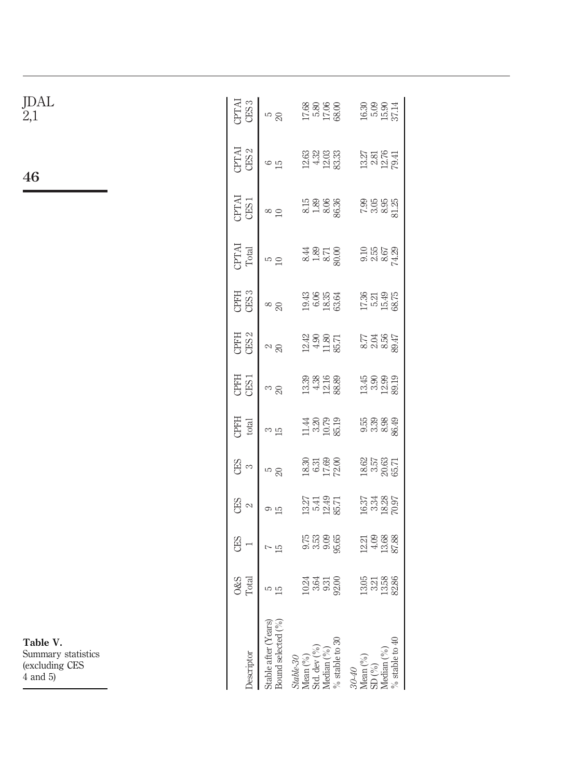<span id="page-9-0"></span>

|                       | CES <sub>3</sub><br>CPTAI<br><b>CPTAI</b><br>CES <sub>2</sub><br><b>CPTAI</b><br>CES1 | <b>S</b> ci<br>$\frac{6}{10}$<br>$\frac{\infty}{1}$ | $\begin{array}{l} 17.68 \\ 5.80 \\ 17.06 \\ 68.00 \end{array}$<br>8.15<br>1.89<br>86.36 | $\begin{array}{c} 16.30 \\ 5.09 \\ 15.37 \\ \end{array}$<br>13.81 51<br>13.81 51<br>19.91<br>7.95<br>7.95<br>8.95<br>8.15 |
|-----------------------|---------------------------------------------------------------------------------------|-----------------------------------------------------|-----------------------------------------------------------------------------------------|---------------------------------------------------------------------------------------------------------------------------|
|                       | CPTAI<br>Total<br>CES <sub>3</sub><br>CPFH                                            | $\frac{1}{2}$<br>$\frac{8}{20}$                     | 8.44<br>1.89<br>50.00<br>1943<br>6.95<br>1836                                           | 0.16<br>0.16<br>0.67<br>0.14<br>$17.36$<br>$15.49$<br>$15.36$                                                             |
|                       | CPFH<br>CES <sub>2</sub>                                                              | $\approx$ $\approx$                                 | $\begin{array}{c} 12.42 \\ 4.90 \\ 11.80 \\ 85.71 \end{array}$                          | 274567<br>28567<br>289                                                                                                    |
|                       | CPFH<br>CES <sub>1</sub>                                                              | $\frac{3}{20}$                                      | $\begin{array}{c} 13.39 \\ 13.38 \\ 12.16 \\ 88 \end{array}$                            | $13.90$<br>$13.90$<br>$12.90$<br>$30.19$                                                                                  |
|                       | CPFH<br>total                                                                         | ო <u>ს</u>                                          | $11.430$<br>$10.79$<br>$10.79$                                                          | 55<br>56889<br>568                                                                                                        |
|                       | යු<br>ද                                                                               | r<br>20                                             | 18.30<br>6.31<br>17.69<br>72.00                                                         | 18.62<br>3.57<br>85.71<br>65.71                                                                                           |
|                       | CES<br>$\mathcal{L}$                                                                  | ு ம                                                 | 1341<br>1349<br>1257                                                                    | 16.37<br>3.34<br>18.26<br>70.97                                                                                           |
|                       | CES                                                                                   | $\frac{c}{1}$                                       | 0.000<br>0.000<br>0.000                                                                 | $\frac{123}{4388}$<br>$\frac{438}{8788}$                                                                                  |
|                       | O&S<br>Total                                                                          | s<br>15                                             | 1935<br>1935<br>1936                                                                    | $13.588$<br>$13.588$                                                                                                      |
| y statistics<br>g CES | <b>Jescriptor</b>                                                                     | Stable after (Years)<br>Bound selected (%)          |                                                                                         | Mean $(^{\circ}\circ)$<br>SD $(^{\circ}\circ)$<br>Median $(^{\circ}\circ)$<br>% stable to 40<br>$30-40$                   |

46

JDAL 2,1

Table V. Summary  $(excludin$  $\dot{4}$  and 5)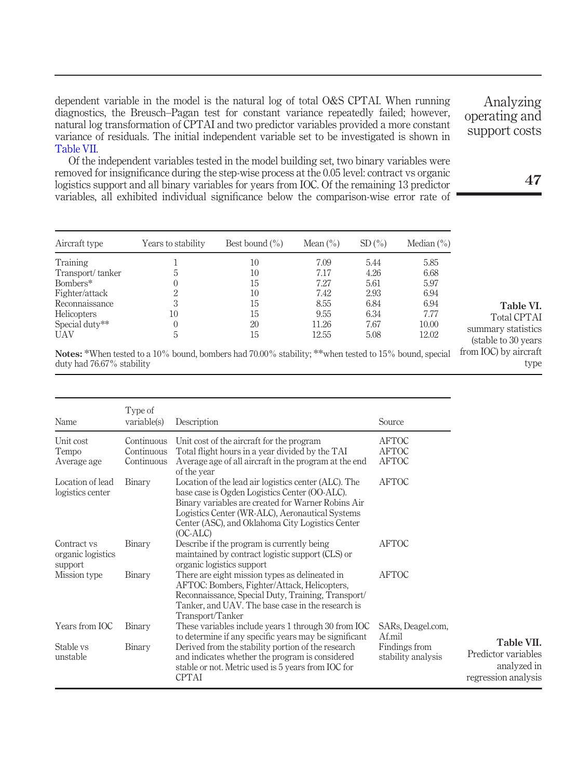dependent variable in the model is the natural log of total O&S CPTAI. When running diagnostics, the Breusch–Pagan test for constant variance repeatedly failed; however, natural log transformation of CPTAI and two predictor variables provided a more constant variance of residuals. The initial independent variable set to be investigated is shown in [Table VII](#page-10-1).

Of the independent variables tested in the model building set, two binary variables were removed for insignificance during the step-wise process at the 0.05 level: contract vs organic logistics support and all binary variables for years from IOC. Of the remaining 13 predictor variables, all exhibited individual significance below the comparison-wise error rate of

| Aircraft type      | Years to stability | Best bound $(\% )$ | Mean $(\% )$ | SD(%) | Median $(\% )$ |
|--------------------|--------------------|--------------------|--------------|-------|----------------|
| Training           |                    | 10                 | 7.09         | 5.44  | 5.85           |
| Transport/tanker   | 5                  | 10                 | 7.17         | 4.26  | 6.68           |
| Bombers*           | $\left( \right)$   | 15                 | 7 27         | 5.61  | 5.97           |
| Fighter/attack     | 2                  | 10                 | 7.42         | 2.93  | 6.94           |
| Reconnaissance     | 3                  | 15                 | 8.55         | 6.84  | 6.94           |
| <b>Helicopters</b> | 10                 | 15                 | 9.55         | 6.34  | 7.77           |
| Special duty**     | 0                  | 20                 | 11.26        | 7.67  | 10.00          |
| <b>UAV</b>         | 5                  | 15                 | 12.55        | 5.08  | 12.02          |

from IOC) by aircraft Notes: \*When tested to a 10% bound, bombers had 70.00% stability; \*\*when tested to 15% bound, special duty had 76.67% stability

| Name                                        | Type of<br>variable(s)                 | Description                                                                                                                                                                                                                                                                      | Source                                       |                                                                         |
|---------------------------------------------|----------------------------------------|----------------------------------------------------------------------------------------------------------------------------------------------------------------------------------------------------------------------------------------------------------------------------------|----------------------------------------------|-------------------------------------------------------------------------|
| Unit cost<br>Tempo<br>Average age           | Continuous<br>Continuous<br>Continuous | Unit cost of the aircraft for the program<br>Total flight hours in a year divided by the TAI<br>Average age of all aircraft in the program at the end<br>of the year                                                                                                             | <b>AFTOC</b><br><b>AFTOC</b><br><b>AFTOC</b> |                                                                         |
| Location of lead<br>logistics center        | Binary                                 | Location of the lead air logistics center (ALC). The<br>base case is Ogden Logistics Center (OO-ALC).<br>Binary variables are created for Warner Robins Air<br>Logistics Center (WR-ALC), Aeronautical Systems<br>Center (ASC), and Oklahoma City Logistics Center<br>$(OC-ALC)$ | <b>AFTOC</b>                                 |                                                                         |
| Contract vs<br>organic logistics<br>support | Binary                                 | Describe if the program is currently being<br>maintained by contract logistic support (CLS) or<br>organic logistics support                                                                                                                                                      | <b>AFTOC</b>                                 |                                                                         |
| Mission type                                | Binary                                 | There are eight mission types as delineated in<br>AFTOC: Bombers, Fighter/Attack, Helicopters,<br>Reconnaissance, Special Duty, Training, Transport/<br>Tanker, and UAV. The base case in the research is<br>Transport/Tanker                                                    | <b>AFTOC</b>                                 |                                                                         |
| Years from IOC                              | Binary                                 | These variables include years 1 through 30 from IOC<br>to determine if any specific years may be significant                                                                                                                                                                     | SARs, Deagel.com,<br>Af.mil                  |                                                                         |
| Stable vs<br>unstable                       | Binary                                 | Derived from the stability portion of the research<br>and indicates whether the program is considered<br>stable or not. Metric used is 5 years from IOC for<br><b>CPTAI</b>                                                                                                      | Findings from<br>stability analysis          | Table VII.<br>Predictor variables<br>analyzed in<br>regression analysis |

operating and support costs

Analyzing

47

<span id="page-10-1"></span>type

<span id="page-10-0"></span>Table VI. Total CPTAI summary statistics (stable to 30 years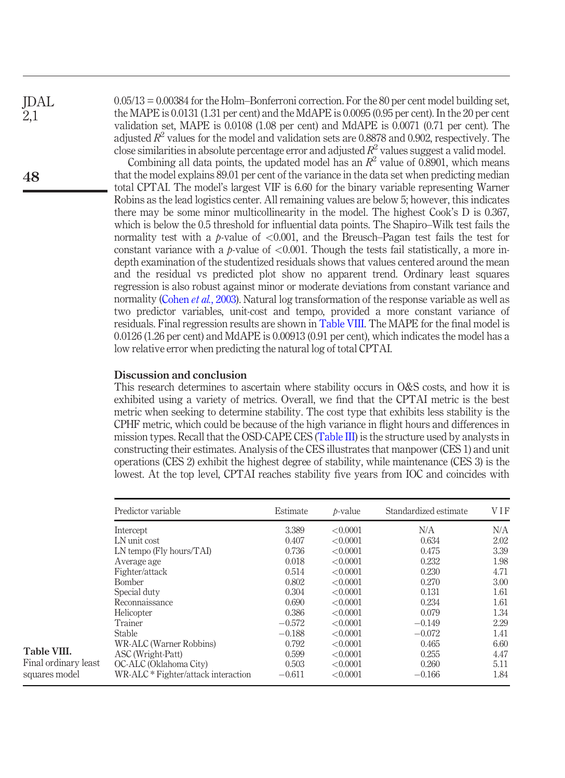JDAL 2,1

48

0.05/13 = 0.00384 for the Holm–Bonferroni correction. For the 80 per cent model building set, the MAPE is 0.0131 (1.31 per cent) and the MdAPE is 0.0095 (0.95 per cent). In the 20 per cent validation set, MAPE is 0.0108 (1.08 per cent) and MdAPE is 0.0071 (0.71 per cent). The adjusted  $R^2$  values for the model and validation sets are 0.8878 and 0.902, respectively. The close similarities in absolute percentage error and adjusted  $R^2$  values suggest a valid model.

Combining all data points, the updated model has an  $R^2$  value of 0.8901, which means that the model explains 89.01 per cent of the variance in the data set when predicting median total CPTAI. The model's largest VIF is 6.60 for the binary variable representing Warner Robins as the lead logistics center. All remaining values are below 5; however, this indicates there may be some minor multicollinearity in the model. The highest Cook's D is 0.367, which is below the 0.5 threshold for influential data points. The Shapiro–Wilk test fails the normality test with a p-value of  $\leq 0.001$ , and the Breusch–Pagan test fails the test for constant variance with a p-value of  $\langle 0.001$ . Though the tests fail statistically, a more indepth examination of the studentized residuals shows that values centered around the mean and the residual vs predicted plot show no apparent trend. Ordinary least squares regression is also robust against minor or moderate deviations from constant variance and normality ([Cohen](#page-13-12) *et al.*, 2003). Natural log transformation of the response variable as well as two predictor variables, unit-cost and tempo, provided a more constant variance of residuals. Final regression results are shown in [Table VIII](#page-11-0). The MAPE for the final model is 0.0126 (1.26 per cent) and MdAPE is 0.00913 (0.91 per cent), which indicates the model has a low relative error when predicting the natural log of total CPTAI.

#### Discussion and conclusion

This research determines to ascertain where stability occurs in O&S costs, and how it is exhibited using a variety of metrics. Overall, we find that the CPTAI metric is the best metric when seeking to determine stability. The cost type that exhibits less stability is the CPHF metric, which could be because of the high variance in flight hours and differences in mission types. Recall that the OSD-CAPE CES [\(Table III](#page-4-1)) is the structure used by analysts in constructing their estimates. Analysis of the CES illustrates that manpower (CES 1) and unit operations (CES 2) exhibit the highest degree of stability, while maintenance (CES 3) is the lowest. At the top level, CPTAI reaches stability five years from IOC and coincides with

<span id="page-11-0"></span>

|                      | Predictor variable                  | Estimate | $b-value$ | Standardized estimate | VIF  |
|----------------------|-------------------------------------|----------|-----------|-----------------------|------|
|                      | Intercept                           | 3.389    | < 0.0001  | N/A                   | N/A  |
|                      | LN unit cost                        | 0.407    | < 0.0001  | 0.634                 | 2.02 |
|                      | LN tempo (Fly hours/TAI)            | 0.736    | < 0.0001  | 0.475                 | 3.39 |
|                      | Average age                         | 0.018    | < 0.0001  | 0.232                 | 1.98 |
|                      | Fighter/attack                      | 0.514    | < 0.0001  | 0.230                 | 4.71 |
|                      | Bomber                              | 0.802    | < 0.0001  | 0.270                 | 3.00 |
|                      | Special duty                        | 0.304    | < 0.0001  | 0.131                 | 1.61 |
|                      | Reconnaissance                      | 0.690    | < 0.0001  | 0.234                 | 1.61 |
|                      | Helicopter                          | 0.386    | < 0.0001  | 0.079                 | 1.34 |
|                      | Trainer                             | $-0.572$ | < 0.0001  | $-0.149$              | 2.29 |
|                      | <b>Stable</b>                       | $-0.188$ | < 0.0001  | $-0.072$              | 1.41 |
|                      | WR-ALC (Warner Robbins)             | 0.792    | < 0.0001  | 0.465                 | 6.60 |
| Table VIII.          | ASC (Wright-Patt)                   | 0.599    | < 0.0001  | 0.255                 | 4.47 |
| Final ordinary least | OC-ALC (Oklahoma City)              | 0.503    | < 0.0001  | 0.260                 | 5.11 |
| squares model        | WR-ALC * Fighter/attack interaction | $-0.611$ | < 0.0001  | $-0.166$              | 1.84 |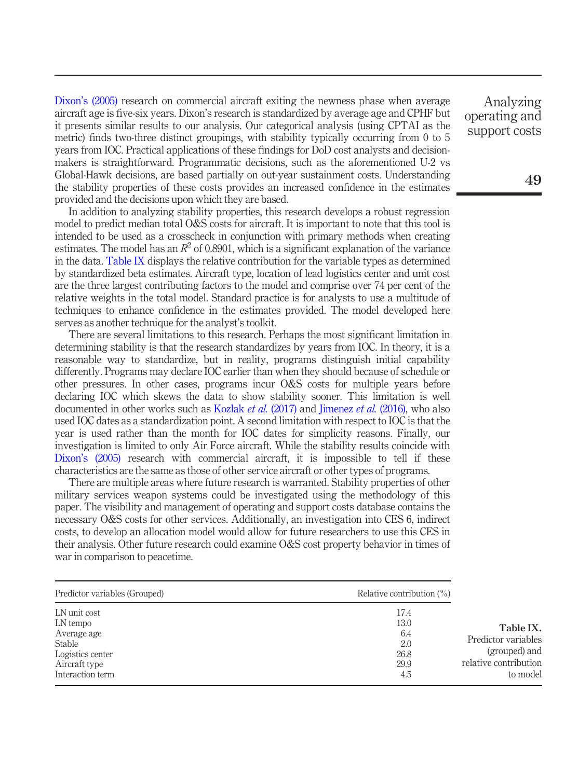Dixon'[s \(2005\)](#page-13-5) research on commercial aircraft exiting the newness phase when average aircraft age is five-six years. Dixon's research is standardized by average age and CPHF but it presents similar results to our analysis. Our categorical analysis (using CPTAI as the metric) finds two-three distinct groupings, with stability typically occurring from 0 to 5 years from IOC. Practical applications of these findings for DoD cost analysts and decisionmakers is straightforward. Programmatic decisions, such as the aforementioned U-2 vs Global-Hawk decisions, are based partially on out-year sustainment costs. Understanding the stability properties of these costs provides an increased confidence in the estimates provided and the decisions upon which they are based.

In addition to analyzing stability properties, this research develops a robust regression model to predict median total O&S costs for aircraft. It is important to note that this tool is intended to be used as a crosscheck in conjunction with primary methods when creating estimates. The model has an  $R^2$  of 0.8901, which is a significant explanation of the variance in the data. [Table IX](#page-12-0) displays the relative contribution for the variable types as determined by standardized beta estimates. Aircraft type, location of lead logistics center and unit cost are the three largest contributing factors to the model and comprise over 74 per cent of the relative weights in the total model. Standard practice is for analysts to use a multitude of techniques to enhance confidence in the estimates provided. The model developed here serves as another technique for the analyst's toolkit.

There are several limitations to this research. Perhaps the most significant limitation in determining stability is that the research standardizes by years from IOC. In theory, it is a reasonable way to standardize, but in reality, programs distinguish initial capability differently. Programs may declare IOC earlier than when they should because of schedule or other pressures. In other cases, programs incur O&S costs for multiple years before declaring IOC which skews the data to show stability sooner. This limitation is well documented in other works such as [Kozlak](#page-13-13) *et al.* (2017) and [Jimenez](#page-13-14) *et al.* (2016), who also used IOC dates as a standardization point. A second limitation with respect to IOC is that the year is used rather than the month for IOC dates for simplicity reasons. Finally, our investigation is limited to only Air Force aircraft. While the stability results coincide with Dixon'[s \(2005\)](#page-13-5) research with commercial aircraft, it is impossible to tell if these characteristics are the same as those of other service aircraft or other types of programs.

There are multiple areas where future research is warranted. Stability properties of other military services weapon systems could be investigated using the methodology of this paper. The visibility and management of operating and support costs database contains the necessary O&S costs for other services. Additionally, an investigation into CES 6, indirect costs, to develop an allocation model would allow for future researchers to use this CES in their analysis. Other future research could examine O&S cost property behavior in times of war in comparison to peacetime.

<span id="page-12-0"></span>

| Predictor variables (Grouped) | Relative contribution $(\%)$ |                       |
|-------------------------------|------------------------------|-----------------------|
| LN unit cost                  | 17.4                         |                       |
| LN tempo                      | 13.0                         | Table IX.             |
| Average age                   | 6.4                          | Predictor variables   |
| Stable                        | 2.0                          |                       |
| Logistics center              | 26.8                         | (grouped) and         |
| Aircraft type                 | 29.9                         | relative contribution |
| Interaction term              | 4.5                          | to model              |

Analyzing operating and support costs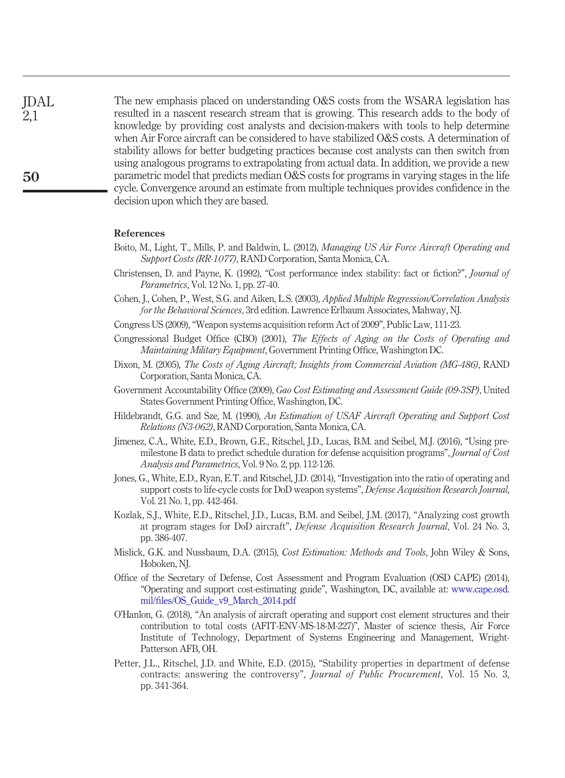The new emphasis placed on understanding O&S costs from the WSARA legislation has resulted in a nascent research stream that is growing. This research adds to the body of knowledge by providing cost analysts and decision-makers with tools to help determine when Air Force aircraft can be considered to have stabilized O&S costs. A determination of stability allows for better budgeting practices because cost analysts can then switch from using analogous programs to extrapolating from actual data. In addition, we provide a new parametric model that predicts median O&S costs for programs in varying stages in the life cycle. Convergence around an estimate from multiple techniques provides confidence in the decision upon which they are based. JDAL 2,1

#### References

- <span id="page-13-1"></span>Boito, M., Light, T., Mills, P. and Baldwin, L. (2012), Managing US Air Force Aircraft Operating and Support Costs (RR-1077), RAND Corporation, Santa Monica, CA.
- <span id="page-13-6"></span>Christensen, D. and Payne, K. (1992), "Cost performance index stability: fact or fiction?", Journal of Parametrics, Vol. 12 No. 1, pp. 27-40.
- <span id="page-13-12"></span>Cohen, J., Cohen, P., West, S.G. and Aiken, L.S. (2003), Applied Multiple Regression/Correlation Analysis for the Behavioral Sciences, 3rd edition. Lawrence Erlbaum Associates, Mahway, NJ.
- <span id="page-13-0"></span>Congress US (2009),"Weapon systems acquisition reform Act of 2009", Public Law, 111-23.
- <span id="page-13-9"></span>Congressional Budget Office (CBO) (2001), The Effects of Aging on the Costs of Operating and Maintaining Military Equipment, Government Printing Office, Washington DC.
- <span id="page-13-5"></span>Dixon, M. (2005), The Costs of Aging Aircraft; Insights from Commercial Aviation (MG-486), RAND Corporation, Santa Monica, CA.
- <span id="page-13-4"></span>Government Accountability Office (2009), Gao Cost Estimating and Assessment Guide (09-3SP), United States Government Printing Office, Washington, DC.
- <span id="page-13-8"></span>Hildebrandt, G.G. and Sze, M. (1990), An Estimation of USAF Aircraft Operating and Support Cost Relations (N3-062), RAND Corporation, Santa Monica, CA.
- <span id="page-13-14"></span>Jimenez, C.A., White, E.D., Brown, G.E., Ritschel, J.D., Lucas, B.M. and Seibel, M.J. (2016), "Using premilestone B data to predict schedule duration for defense acquisition programs", Journal of Cost Analysis and Parametrics, Vol. 9 No. 2, pp. 112-126.
- <span id="page-13-2"></span>Jones, G., White, E.D., Ryan, E.T. and Ritschel, J.D. (2014), "Investigation into the ratio of operating and support costs to life-cycle costs for DoD weapon systems", Defense Acquisition Research Journal, Vol. 21 No. 1, pp. 442-464.
- <span id="page-13-13"></span>Kozlak, S.J., White, E.D., Ritschel, J.D., Lucas, B.M. and Seibel, J.M. (2017), "Analyzing cost growth at program stages for DoD aircraft", Defense Acquisition Research Journal, Vol. 24 No. 3, pp. 386-407.
- <span id="page-13-3"></span>Mislick, G.K. and Nussbaum, D.A. (2015), Cost Estimation: Methods and Tools, John Wiley & Sons, Hoboken, NJ.
- <span id="page-13-10"></span>Office of the Secretary of Defense, Cost Assessment and Program Evaluation (OSD CAPE) (2014), "Operating and support cost-estimating guide", Washington, DC, available at: [www.cape.osd.](http://www.cape.osd.mil/files/OS_Guide_v9_March_2014.pdf) mil/fi[les/OS\\_Guide\\_v9\\_March\\_2014.pdf](http://www.cape.osd.mil/files/OS_Guide_v9_March_2014.pdf)
- <span id="page-13-11"></span>O'Hanlon, G. (2018), "An analysis of aircraft operating and support cost element structures and their contribution to total costs (AFIT-ENV-MS-18-M-227)", Master of science thesis, Air Force Institute of Technology, Department of Systems Engineering and Management, Wright-Patterson AFB, OH.
- <span id="page-13-7"></span>Petter, J.L., Ritschel, J.D. and White, E.D. (2015), "Stability properties in department of defense contracts: answering the controversy", Journal of Public Procurement, Vol. 15 No. 3, pp. 341-364.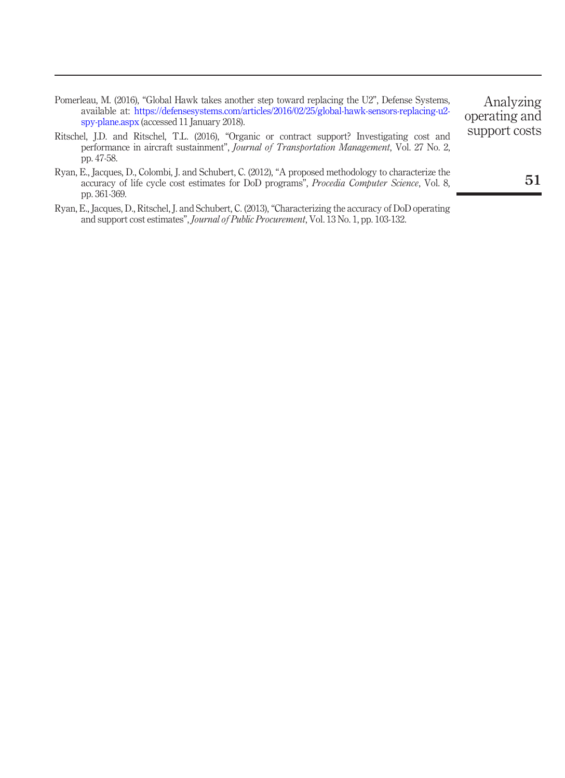<span id="page-14-3"></span><span id="page-14-2"></span>

| Pomerleau, M. (2016), "Global Hawk takes another step toward replacing the U2", Defense Systems,<br>available at: https://defensesystems.com/articles/2016/02/25/global-hawk-sensors-replacing-u2-<br>spy-plane.aspx (accessed 11 January 2018). | Analyzing<br>operating and |
|--------------------------------------------------------------------------------------------------------------------------------------------------------------------------------------------------------------------------------------------------|----------------------------|
| Ritschel, J.D. and Ritschel, T.L. (2016), "Organic or contract support? Investigating cost and<br>performance in aircraft sustainment", Journal of Transportation Management, Vol. 27 No. 2,<br>pp. 47-58.                                       | support costs              |
| Ryan, E., Jacques, D., Colombi, J. and Schubert, C. (2012), "A proposed methodology to characterize the<br>accuracy of life cycle cost estimates for DoD programs", Procedia Computer Science, Vol. 8,<br>pp. 361-369.                           | 5 I                        |

<span id="page-14-1"></span><span id="page-14-0"></span>Ryan, E., Jacques, D., Ritschel, J. and Schubert, C. (2013), "Characterizing the accuracy of DoD operating and support cost estimates", *Journal of Public Procurement*, Vol. 13 No. 1, pp. 103-132.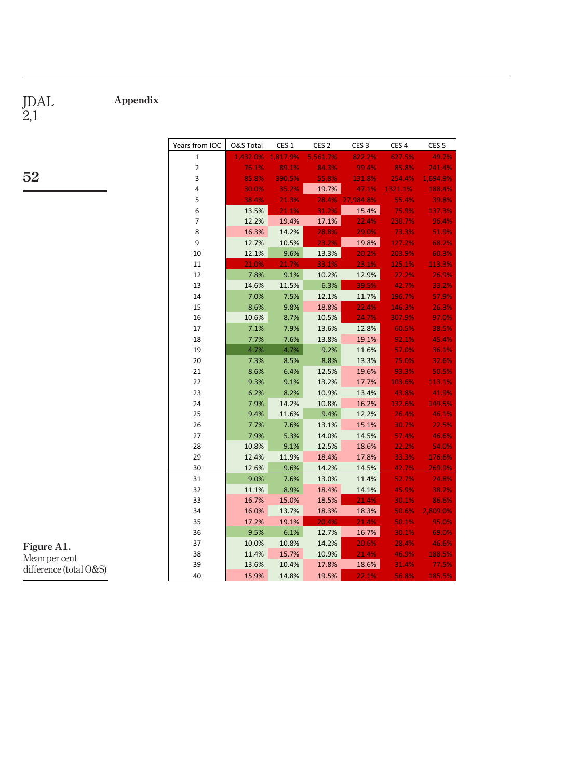<span id="page-15-0"></span>Appendix

JDAL 2,1

### 52

| Years from IOC | O&S Total | CES <sub>1</sub> | CES <sub>2</sub> | CES <sub>3</sub> | CES <sub>4</sub> | CES <sub>5</sub> |
|----------------|-----------|------------------|------------------|------------------|------------------|------------------|
| $\mathbf{1}$   | 1,432.0%  | 1,817.9%         | 5,561.7%         | 822.2%           | 627.5%           | 49.7%            |
| $\overline{2}$ | 76.1%     | 89.1%            | 84.3%            | 99.4%            | 85.8%            | 241.4%           |
| 3              | 85.8%     | 390.5%           | 55.8%            | 131.8%           | 254.4%           | 1,694.9%         |
| 4              | 30.0%     | 35.2%            | 19.7%            | 47.1%            | 1321.1%          | 188.4%           |
| 5              | 38.4%     | 21.3%            | 28.4%            | 27,984.8%        | 55.4%            | 39.8%            |
| 6              | 13.5%     | 21.1%            | 31.2%            | 15.4%            | 75.9%            | 137.3%           |
| $\overline{7}$ | 12.2%     | 19.4%            | 17.1%            | 22.4%            | 230.7%           | 96.4%            |
| 8              | 16.3%     | 14.2%            | 28.8%            | 29.0%            | 73.3%            | 51.9%            |
| 9              | 12.7%     | 10.5%            | 23.2%            | 19.8%            | 127.2%           | 68.2%            |
| 10             | 12.1%     | 9.6%             | 13.3%            | 20.2%            | 203.9%           | 60.3%            |
| 11             | 21.0%     | 21.7%            | 33.1%            | 23.1%            | 125.1%           | 113.3%           |
| 12             | 7.8%      | 9.1%             | 10.2%            | 12.9%            | 22.2%            | 26.9%            |
| 13             | 14.6%     | 11.5%            | 6.3%             | 39.5%            | 42.7%            | 33.2%            |
| 14             | 7.0%      | 7.5%             | 12.1%            | 11.7%            | 196.7%           | 57.9%            |
| 15             | 8.6%      | 9.8%             | 18.8%            | 22.4%            | 146.3%           | 26.3%            |
| 16             | 10.6%     | 8.7%             | 10.5%            | 24.7%            | 307.9%           | 97.0%            |
| 17             | 7.1%      | 7.9%             | 13.6%            | 12.8%            | 60.5%            | 38.5%            |
| 18             | 7.7%      | 7.6%             | 13.8%            | 19.1%            | 92.1%            | 45.4%            |
| 19             | 4.7%      | 4.7%             | 9.2%             | 11.6%            | 57.0%            | 36.1%            |
| 20             | 7.3%      | 8.5%             | 8.8%             | 13.3%            | 75.0%            | 32.6%            |
| 21             | 8.6%      | 6.4%             | 12.5%            | 19.6%            | 93.3%            | 50.5%            |
| 22             | 9.3%      | 9.1%             | 13.2%            | 17.7%            | 103.6%           | 113.1%           |
| 23             | 6.2%      | 8.2%             | 10.9%            | 13.4%            | 43.8%            | 41.9%            |
| 24             | 7.9%      | 14.2%            | 10.8%            | 16.2%            | 132.6%           | 149.5%           |
| 25             | 9.4%      | 11.6%            | 9.4%             | 12.2%            | 26.4%            | 46.1%            |
| 26             | 7.7%      | 7.6%             | 13.1%            | 15.1%            | 30.7%            | 22.5%            |
| 27             | 7.9%      | 5.3%             | 14.0%            | 14.5%            | 57.4%            | 46.6%            |
| 28             | 10.8%     | 9.1%             | 12.5%            | 18.6%            | 22.2%            | 54.0%            |
| 29             | 12.4%     | 11.9%            | 18.4%            | 17.8%            | 33.3%            | 176.6%           |
| 30             | 12.6%     | 9.6%             | 14.2%            | 14.5%            | 42.7%            | 269.9%           |
| 31             | 9.0%      | 7.6%             | 13.0%            | 11.4%            | 52.7%            | 24.8%            |
| 32             | 11.1%     | 8.9%             | 18.4%            | 14.1%            | 45.9%            | 38.2%            |
| 33             | 16.7%     | 15.0%            | 18.5%            | 21.4%            | 30.1%            | 86.6%            |
| 34             | 16.0%     | 13.7%            | 18.3%            | 18.3%            | 50.6%            | 2,809.0%         |
| 35             | 17.2%     | 19.1%            | 20.4%            | 21.4%            | 50.1%            | 95.0%            |
| 36             | 9.5%      | 6.1%             | 12.7%            | 16.7%            | 30.1%            | 69.0%            |
| 37             | 10.0%     | 10.8%            | 14.2%            | 20.6%            | 28.4%            | 46.6%            |
| 38             | 11.4%     | 15.7%            | 10.9%            | 21.4%            | 46.9%            | 188.5%           |
| 39             | 13.6%     | 10.4%            | 17.8%            | 18.6%            | 31.4%            | 77.5%            |
| 40             | 15.9%     | 14.8%            | 19.5%            | 22.1%            | 56.8%            | 185.5%           |

Figure A1. Mean per cent difference (total O&S)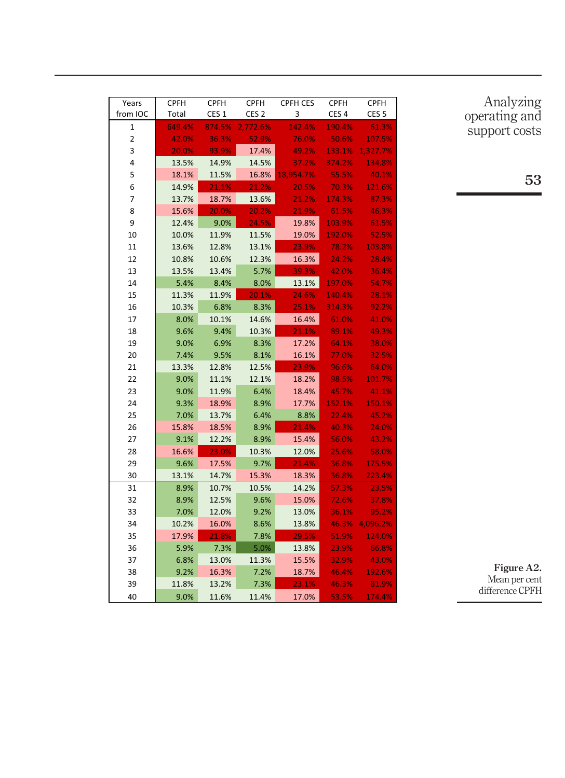| Years          | <b>CPFH</b> | <b>CPFH</b>      | <b>CPFH</b>      | <b>CPFH CES</b> | <b>CPFH</b>      | <b>CPFH</b>      |
|----------------|-------------|------------------|------------------|-----------------|------------------|------------------|
| from IOC       | Total       | CES <sub>1</sub> | CES <sub>2</sub> | 3               | CES <sub>4</sub> | CES <sub>5</sub> |
| 1              | 649.4%      | 874.5%           | 2,772.6%         | 142.4%          | 190.4%           | 61.3%            |
| $\overline{2}$ | 42.0%       | 36.3%            | 52.9%            | 76.0%           | 50.6%            | 107.5%           |
| 3              | 20.0%       | 93.9%            | 17.4%            | 49.2%           | 133.1%           | 1,327.7%         |
| 4              | 13.5%       | 14.9%            | 14.5%            | 37.2%           | 374.2%           | 134.8%           |
| 5              | 18.1%       | 11.5%            | 16.8%            | 18,954.7%       | 55.5%            | 40.1%            |
| 6              | 14.9%       | 21.1%            | 21.2%            | 20.5%           | 70.3%            | 121.6%           |
| 7              | 13.7%       | 18.7%            | 13.6%            | 21.2%           | 174.3%           | 87.3%            |
| 8              | 15.6%       | 20.0%            | 20.2%            | 21.9%           | 61.5%            | 46.3%            |
| 9              | 12.4%       | 9.0%             | 24.5%            | 19.8%           | 103.9%           | 61.5%            |
| 10             | 10.0%       | 11.9%            | 11.5%            | 19.0%           | 192.0%           | 52.5%            |
| 11             | 13.6%       | 12.8%            | 13.1%            | 23.9%           | 78.2%            | 103.8%           |
| 12             | 10.8%       | 10.6%            | 12.3%            | 16.3%           | 24.2%            | 28.4%            |
| 13             | 13.5%       | 13.4%            | 5.7%             | 39.3%           | 42.0%            | 36.4%            |
| 14             | 5.4%        | 8.4%             | 8.0%             | 13.1%           | 197.0%           | 54.7%            |
| 15             | 11.3%       | 11.9%            | 20.1%            | 24.6%           | 140.4%           | 28.1%            |
| 16             | 10.3%       | 6.8%             | 8.3%             | 25.1%           | 314.3%           | 92.2%            |
| 17             | 8.0%        | 10.1%            | 14.6%            | 16.4%           | 61.0%            | 41.0%            |
| 18             | 9.6%        | 9.4%             | 10.3%            | 21.1%           | 89.1%            | 49.3%            |
| 19             | 9.0%        | 6.9%             | 8.3%             | 17.2%           | 64.1%            | 38.0%            |
| 20             | 7.4%        | 9.5%             | 8.1%             | 16.1%           | 77.0%            | 32.5%            |
| 21             | 13.3%       | 12.8%            | 12.5%            | 23.9%           | 96.6%            | 64.0%            |
| 22             | 9.0%        | 11.1%            | 12.1%            | 18.2%           | 98.5%            | 101.7%           |
| 23             | 9.0%        | 11.9%            | 6.4%             | 18.4%           | 45.7%            | 41.1%            |
| 24             | 9.3%        | 18.9%            | 8.9%             | 17.7%           | 152.1%           | 150.1%           |
| 25             | 7.0%        | 13.7%            | 6.4%             | 8.8%            | 22.4%            | 45.2%            |
| 26             | 15.8%       | 18.5%            | 8.9%             | 21.4%           | 40.3%            | 24.0%            |
| 27             | 9.1%        | 12.2%            | 8.9%             | 15.4%           | 56.0%            | 43.2%            |
| 28             | 16.6%       | 23.0%            | 10.3%            | 12.0%           | 25.6%            | 58.0%            |
| 29             | 9.6%        | 17.5%            | 9.7%             | 21.4%           | 36.8%            | 175.5%           |
| 30             | 13.1%       | 14.7%            | 15.3%            | 18.3%           | 36.8%            | 223.4%           |
| 31             | 8.9%        | 10.7%            | 10.5%            | 14.2%           | 57.3%            | 23.5%            |
| 32             | 8.9%        | 12.5%            | 9.6%             | 15.0%           | 72.6%            | 37.8%            |
| 33             | 7.0%        | 12.0%            | 9.2%             | 13.0%           | 36.1%            | 95.2%            |
| 34             | 10.2%       | 16.0%            | 8.6%             | 13.8%           | 46.3%            | 4,096.2%         |
| 35             | 17.9%       | 21.8%            | 7.8%             | 29.5%           | 51.9%            | 124.0%           |
| 36             | 5.9%        | 7.3%             | 5.0%             | 13.8%           | 23.9%            | 66.8%            |
| 37             | 6.8%        | 13.0%            | 11.3%            | 15.5%           | 32.9%            | 43.0%            |
| 38             | 9.2%        | 16.3%            | 7.2%             | 18.7%           | 46.4%            | 192.6%           |
| 39             | 11.8%       | 13.2%            | 7.3%             | 23.1%           | 46.3%            | 81.9%            |
| 40             | 9.0%        | 11.6%            | 11.4%            | 17.0%           | 53.5%            | 174.4%           |

Analyzing operating and support costs

53

Figure A2. Mean per cent difference CPFH